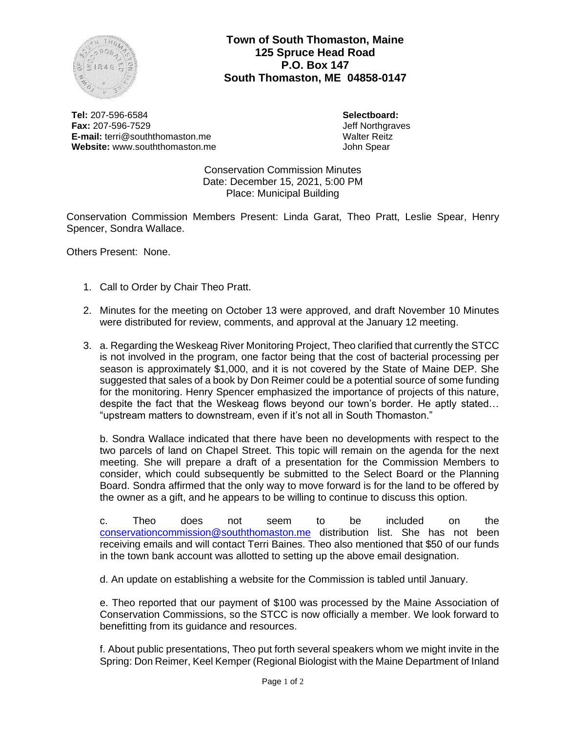

**Town of South Thomaston, Maine 125 Spruce Head Road P.O. Box 147 South Thomaston, ME 04858-0147**

**Tel:** 207-596-6584 **Fax:** 207-596-7529 **E-mail:** terri@souththomaston.me **Website:** www.souththomaston.me **Selectboard:** Jeff Northgraves Walter Reitz John Spear

Conservation Commission Minutes Date: December 15, 2021, 5:00 PM Place: Municipal Building

Conservation Commission Members Present: Linda Garat, Theo Pratt, Leslie Spear, Henry Spencer, Sondra Wallace.

Others Present: None.

- 1. Call to Order by Chair Theo Pratt.
- 2. Minutes for the meeting on October 13 were approved, and draft November 10 Minutes were distributed for review, comments, and approval at the January 12 meeting.
- 3. a. Regarding the Weskeag River Monitoring Project, Theo clarified that currently the STCC is not involved in the program, one factor being that the cost of bacterial processing per season is approximately \$1,000, and it is not covered by the State of Maine DEP. She suggested that sales of a book by Don Reimer could be a potential source of some funding for the monitoring. Henry Spencer emphasized the importance of projects of this nature, despite the fact that the Weskeag flows beyond our town's border. He aptly stated… "upstream matters to downstream, even if it's not all in South Thomaston."

b. Sondra Wallace indicated that there have been no developments with respect to the two parcels of land on Chapel Street. This topic will remain on the agenda for the next meeting. She will prepare a draft of a presentation for the Commission Members to consider, which could subsequently be submitted to the Select Board or the Planning Board. Sondra affirmed that the only way to move forward is for the land to be offered by the owner as a gift, and he appears to be willing to continue to discuss this option.

c. Theo does not seem to be included on the [conservationcommission@souththomaston.me](mailto:conservationcommission@souththomaston.me) distribution list. She has not been receiving emails and will contact Terri Baines. Theo also mentioned that \$50 of our funds in the town bank account was allotted to setting up the above email designation.

d. An update on establishing a website for the Commission is tabled until January.

e. Theo reported that our payment of \$100 was processed by the Maine Association of Conservation Commissions, so the STCC is now officially a member. We look forward to benefitting from its guidance and resources.

f. About public presentations, Theo put forth several speakers whom we might invite in the Spring: Don Reimer, Keel Kemper (Regional Biologist with the Maine Department of Inland